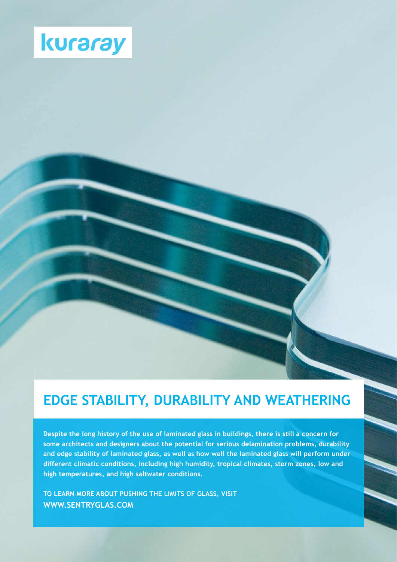

# **EDGE STABILITY, DURABILITY AND WEATHERING**

**Despite the long history of the use of laminated glass in buildings, there is still a concern for some architects and designers about the potential for serious delamination problems, durability and edge stability of laminated glass, as well as how well the laminated glass will perform under different climatic conditions, including high humidity, tropical climates, storm zones, low and high temperatures, and high saltwater conditions.**

**TO LEARN MORE ABOUT PUSHING THE LIMITS OF GLASS, VISIT WWW.SENTRYGLAS.COM**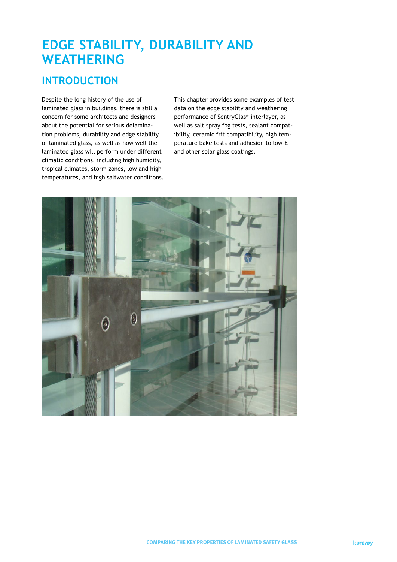## **EDGE STABILITY, DURABILITY AND WEATHERING**

### **INTRODUCTION**

Despite the long history of the use of laminated glass in buildings, there is still a concern for some architects and designers about the potential for serious delamination problems, durability and edge stability of laminated glass, as well as how well the laminated glass will perform under different climatic conditions, including high humidity, tropical climates, storm zones, low and high temperatures, and high saltwater conditions. This chapter provides some examples of test data on the edge stability and weathering performance of SentryGlas® interlayer, as well as salt spray fog tests, sealant compatibility, ceramic frit compatibility, high temperature bake tests and adhesion to low-E and other solar glass coatings.

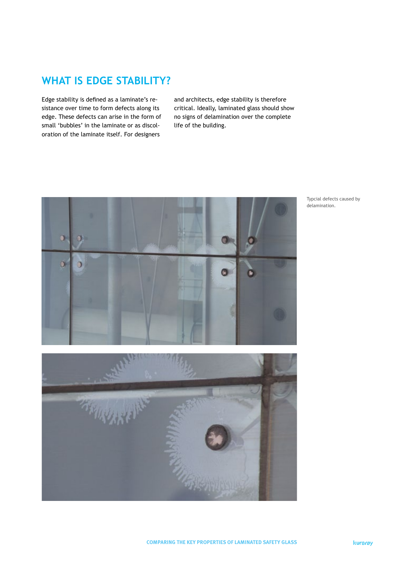#### **WHAT IS EDGE STABILITY?**

Edge stability is defined as a laminate's resistance over time to form defects along its edge. These defects can arise in the form of small 'bubbles' in the laminate or as discoloration of the laminate itself. For designers

and architects, edge stability is therefore critical. Ideally, laminated glass should show no signs of delamination over the complete life of the building.



Typcial defects caused by delamination.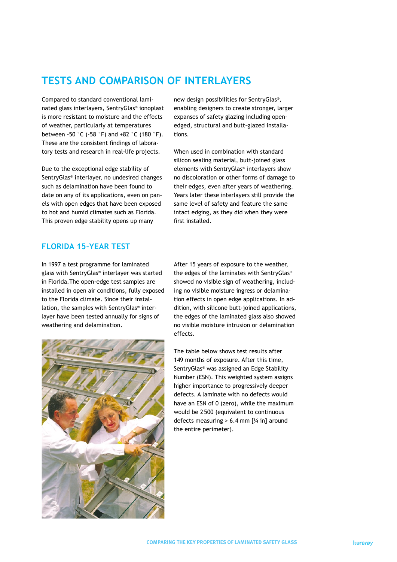#### **TESTS AND COMPARISON OF INTERLAYERS**

Compared to standard conventional laminated glass interlayers, SentryGlas® ionoplast is more resistant to moisture and the effects of weather, particularly at temperatures between -50 °C (-58 °F) and +82 °C (180 °F). These are the consistent findings of laboratory tests and research in real-life projects.

Due to the exceptional edge stability of SentryGlas® interlayer, no undesired changes such as delamination have been found to date on any of its applications, even on panels with open edges that have been exposed to hot and humid climates such as Florida. This proven edge stability opens up many

#### **FLORIDA 15-YEAR TEST**

In 1997 a test programme for laminated glass with SentryGlas® interlayer was started in Florida.The open-edge test samples are installed in open air conditions, fully exposed to the Florida climate. Since their installation, the samples with SentryGlas® interlayer have been tested annually for signs of weathering and delamination.



new design possibilities for SentryGlas®, enabling designers to create stronger, larger expanses of safety glazing including openedged, structural and butt-glazed installations.

When used in combination with standard silicon sealing material, butt-joined glass elements with SentryGlas® interlayers show no discoloration or other forms of damage to their edges, even after years of weathering. Years later these interlayers still provide the same level of safety and feature the same intact edging, as they did when they were first installed.

After 15 years of exposure to the weather, the edges of the laminates with SentryGlas® showed no visible sign of weathering, including no visible moisture ingress or delamination effects in open edge applications. In addition, with silicone butt-joined applications, the edges of the laminated glass also showed no visible moisture intrusion or delamination effects.

The table below shows test results after 149 months of exposure. After this time, SentryGlas® was assigned an Edge Stability Number (ESN). This weighted system assigns higher importance to progressively deeper defects. A laminate with no defects would have an ESN of 0 (zero), while the maximum would be 2500 (equivalent to continuous defects measuring  $> 6.4$  mm  $[%]$  in] around the entire perimeter).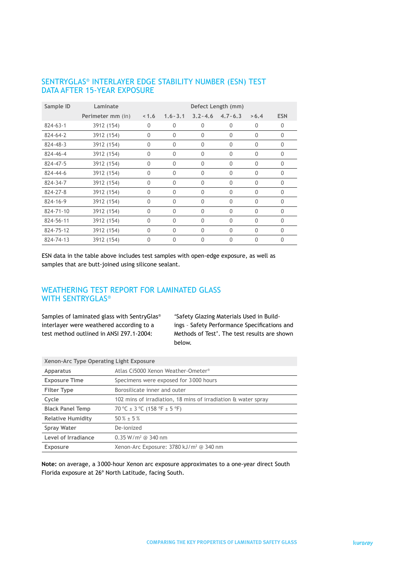#### SENTRYGLAS® INTERLAYER EDGE STABILITY NUMBER (ESN) TEST DATA AFTER 15-YEAR EXPOSURE

| Sample ID      | Laminate          | Defect Length (mm) |              |              |              |              |              |
|----------------|-------------------|--------------------|--------------|--------------|--------------|--------------|--------------|
|                | Perimeter mm (in) | 1.6                | $1.6 - 3.1$  | $3.2 - 4.6$  | $4.7 - 6.3$  | > 6.4        | <b>ESN</b>   |
| $824 - 63 - 1$ | 3912 (154)        | $\mathbf{0}$       | $\Omega$     | $\mathbf{0}$ | $\mathbf{0}$ | $\mathbf{0}$ | $\Omega$     |
| 824-64-2       | 3912 (154)        | $\mathbf{0}$       | $\mathbf{0}$ | 0            | $\mathbf{0}$ | $\mathbf{0}$ | $\mathbf{0}$ |
| 824-48-3       | 3912 (154)        | $\mathbf{0}$       | $\mathbf{0}$ | $\mathbf{0}$ | $\mathbf{0}$ | $\mathbf{0}$ | $\Omega$     |
| 824-46-4       | 3912 (154)        | $\mathbf{0}$       | $\mathbf{0}$ | 0            | $\mathbf{0}$ | $\mathbf{0}$ | $\Omega$     |
| 824-47-5       | 3912 (154)        | $\mathbf{0}$       | $\mathbf{0}$ | $\mathbf{0}$ | $\mathbf{0}$ | $\mathbf{0}$ | $\theta$     |
| 824-44-6       | 3912 (154)        | $\mathbf{0}$       | $\mathbf{0}$ | $\Omega$     | $\mathbf{0}$ | $\mathbf{0}$ | $\theta$     |
| 824-34-7       | 3912 (154)        | $\mathbf{0}$       | $\theta$     | $\Omega$     | $\Omega$     | $\mathbf{0}$ | $\Omega$     |
| 824-27-8       | 3912 (154)        | $\mathbf{0}$       | $\mathbf{0}$ | $\Omega$     | $\mathbf{0}$ | $\mathbf{0}$ | $\Omega$     |
| 824-16-9       | 3912 (154)        | $\theta$           | $\mathbf{0}$ | $\mathbf{0}$ | $\theta$     | $\mathbf{0}$ | $\theta$     |
| 824-71-10      | 3912 (154)        | $\mathbf{0}$       | $\mathbf{0}$ | 0            | $\mathbf{0}$ | 0            | $\Omega$     |
| 824-56-11      | 3912 (154)        | $\Omega$           | $\theta$     | $\Omega$     | $\Omega$     | $\mathbf{0}$ | $\Omega$     |
| 824-75-12      | 3912 (154)        | $\mathbf{0}$       | $\mathbf{0}$ | $\Omega$     | $\mathbf{0}$ | 0            | $\Omega$     |
| 824-74-13      | 3912 (154)        | $\Omega$           | 0            | 0            | 0            | $\Omega$     | $\Omega$     |

ESN data in the table above includes test samples with open-edge exposure, as well as samples that are butt-joined using silicone sealant.

#### WEATHERING TEST REPORT FOR LAMINATED GLASS WITH SENTRYGLAS®

Samples of laminated glass with SentryGlas® interlayer were weathered according to a test method outlined in ANSI Z97.1-2004:

'Safety Glazing Materials Used in Buildings – Safety Performance Specifications and Methods of Test'. The test results are shown below.

| Xenon-Arc Type Operating Light Exposure |                                                               |  |
|-----------------------------------------|---------------------------------------------------------------|--|
| <b>Apparatus</b>                        | Atlas Ci5000 Xenon Weather-Ometer <sup>®</sup>                |  |
| <b>Exposure Time</b>                    | Specimens were exposed for 3000 hours                         |  |
| <b>Filter Type</b>                      | Borosilicate inner and outer                                  |  |
| Cycle                                   | 102 mins of irradiation, 18 mins of irradiation & water spray |  |
| <b>Black Panel Temp</b>                 | 70 °C $\pm$ 3 °C (158 °F $\pm$ 5 °F)                          |  |
| <b>Relative Humidity</b>                | $50\% \pm 5\%$                                                |  |
| <b>Spray Water</b>                      | De-ionized                                                    |  |
| Level of Irradiance                     | $0.35 W/m^2$ @ 340 nm                                         |  |
| <b>Exposure</b>                         | Xenon-Arc Exposure: 3780 kJ/m <sup>2</sup> @ 340 nm           |  |

**Note:** on average, a 3000-hour Xenon arc exposure approximates to a one-year direct South Florida exposure at 26º North Latitude, facing South.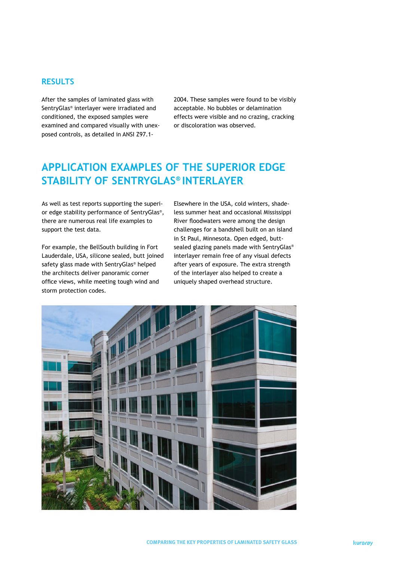#### **RESULTS**

After the samples of laminated glass with SentryGlas® interlayer were irradiated and conditioned, the exposed samples were examined and compared visually with unexposed controls, as detailed in ANSI Z97.12004. These samples were found to be visibly acceptable. No bubbles or delamination effects were visible and no crazing, cracking or discoloration was observed.

### **APPLICATION EXAMPLES OF THE SUPERIOR EDGE STABILITY OF SENTRYGLAS® INTERLAYER**

As well as test reports supporting the superior edge stability performance of SentryGlas®, there are numerous real life examples to support the test data.

For example, the BellSouth building in Fort Lauderdale, USA, silicone sealed, butt joined safety glass made with SentryGlas® helped the architects deliver panoramic corner office views, while meeting tough wind and storm protection codes.

Elsewhere in the USA, cold winters, shadeless summer heat and occasional Mississippi River floodwaters were among the design challenges for a bandshell built on an island in St Paul, Minnesota. Open edged, buttsealed glazing panels made with SentryGlas® interlayer remain free of any visual defects after years of exposure. The extra strength of the interlayer also helped to create a uniquely shaped overhead structure.

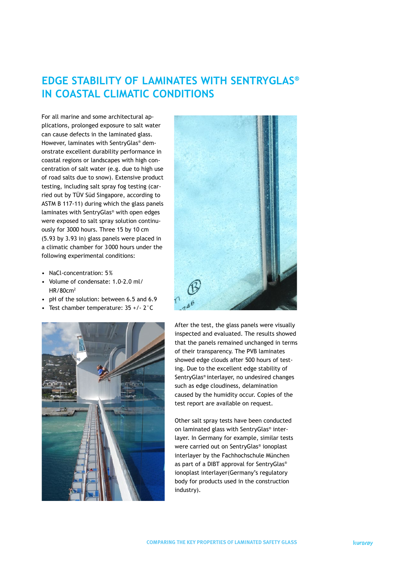### **EDGE STABILITY OF LAMINATES WITH SENTRYGLAS® IN COASTAL CLIMATIC CONDITIONS**

For all marine and some architectural applications, prolonged exposure to salt water can cause defects in the laminated glass. However, laminates with SentryGlas® demonstrate excellent durability performance in coastal regions or landscapes with high concentration of salt water (e.g. due to high use of road salts due to snow). Extensive product testing, including salt spray fog testing (carried out by TÜV Süd Singapore, according to ASTM B 117-11) during which the glass panels laminates with SentryGlas® with open edges were exposed to salt spray solution continuously for 3000 hours. Three 15 by 10 cm (5.93 by 3.93 in) glass panels were placed in a climatic chamber for 3000 hours under the following experimental conditions:

- NaCl-concentration: 5%
- Volume of condensate: 1.0-2.0 ml/ HR/80cm2
- pH of the solution: between 6.5 and 6.9
- Test chamber temperature: 35 +/- 2°C





After the test, the glass panels were visually inspected and evaluated. The results showed that the panels remained unchanged in terms of their transparency. The PVB laminates showed edge clouds after 500 hours of testing. Due to the excellent edge stability of SentryGlas® interlayer, no undesired changes such as edge cloudiness, delamination caused by the humidity occur. Copies of the test report are available on request.

Other salt spray tests have been conducted on laminated glass with SentryGlas® interlayer. In Germany for example, similar tests were carried out on SentryGlas® ionoplast interlayer by the Fachhochschule München as part of a DIBT approval for SentryGlas® ionoplast interlayer(Germany's regulatory body for products used in the construction industry).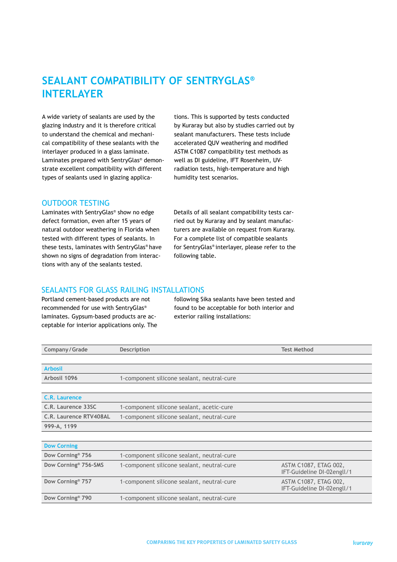### **SEALANT COMPATIBILITY OF SENTRYGLAS® INTERLAYER**

A wide variety of sealants are used by the glazing industry and it is therefore critical to understand the chemical and mechanical compatibility of these sealants with the interlayer produced in a glass laminate. Laminates prepared with SentryGlas® demonstrate excellent compatibility with different types of sealants used in glazing applica-

tions. This is supported by tests conducted by Kuraray but also by studies carried out by sealant manufacturers. These tests include accelerated QUV weathering and modified ASTM C1087 compatibility test methods as well as DI guideline, IFT Rosenheim, UVradiation tests, high-temperature and high humidity test scenarios.

#### OUTDOOR TESTING

Laminates with SentryGlas® show no edge defect formation, even after 15 years of natural outdoor weathering in Florida when tested with different types of sealants. In these tests, laminates with SentryGlas® have shown no signs of degradation from interactions with any of the sealants tested.

Details of all sealant compatibility tests carried out by Kuraray and by sealant manufacturers are available on request from Kuraray. For a complete list of compatible sealants for SentryGlas® interlayer, please refer to the following table.

#### SEALANTS FOR GLASS RAILING INSTALLATIONS

Portland cement-based products are not recommended for use with SentryGlas® laminates. Gypsum-based products are acceptable for interior applications only. The following Sika sealants have been tested and found to be acceptable for both interior and exterior railing installations:

| Company/Grade                    | <b>Description</b>                         | <b>Test Method</b>                                  |
|----------------------------------|--------------------------------------------|-----------------------------------------------------|
|                                  |                                            |                                                     |
| <b>Arbosil</b>                   |                                            |                                                     |
| Arbosil 1096                     | 1-component silicone sealant, neutral-cure |                                                     |
|                                  |                                            |                                                     |
| C.R. Laurence                    |                                            |                                                     |
| C.R. Laurence 33SC               | 1-component silicone sealant, acetic-cure  |                                                     |
| C.R. Laurence RTV408AL           | 1-component silicone sealant, neutral-cure |                                                     |
| 999-A, 1199                      |                                            |                                                     |
|                                  |                                            |                                                     |
| <b>Dow Corning</b>               |                                            |                                                     |
| Dow Corning <sup>®</sup> 756     | 1-component silicone sealant, neutral-cure |                                                     |
| Dow Corning <sup>®</sup> 756-SMS | 1-component silicone sealant, neutral-cure | ASTM C1087, ETAG 002,<br>IFT-Guideline DI-02engll/1 |
| Dow Corning <sup>®</sup> 757     | 1-component silicone sealant, neutral-cure | ASTM C1087, ETAG 002,<br>IFT-Guideline DI-02engll/1 |
| Dow Corning <sup>®</sup> 790     | 1-component silicone sealant, neutral-cure |                                                     |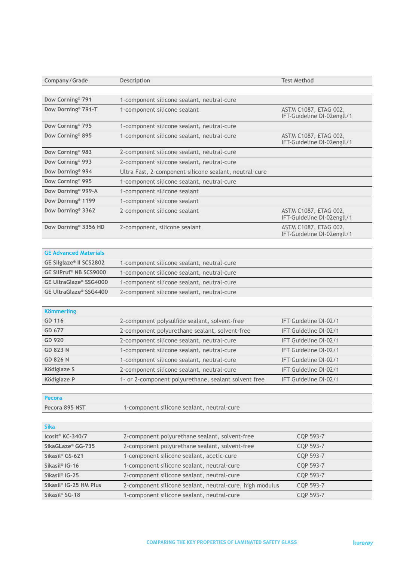| Company / Grade                | Description                                              | <b>Test Method</b>                                  |
|--------------------------------|----------------------------------------------------------|-----------------------------------------------------|
|                                |                                                          |                                                     |
| Dow Corning <sup>®</sup> 791   | 1-component silicone sealant, neutral-cure               |                                                     |
| Dow Dorning <sup>®</sup> 791-T | 1-component silicone sealant                             | ASTM C1087, ETAG 002,<br>IFT-Guideline DI-02engll/1 |
| Dow Corning <sup>®</sup> 795   | 1-component silicone sealant, neutral-cure               |                                                     |
| Dow Corning® 895               | 1-component silicone sealant, neutral-cure               | ASTM C1087, ETAG 002,<br>IFT-Guideline DI-02engll/1 |
| Dow Corning <sup>®</sup> 983   | 2-component silicone sealant, neutral-cure               |                                                     |
| Dow Corning <sup>®</sup> 993   | 2-component silicone sealant, neutral-cure               |                                                     |
| Dow Dorning <sup>®</sup> 994   | Ultra Fast, 2-component silicone sealant, neutral-cure   |                                                     |
| Dow Corning <sup>®</sup> 995   | 1-component silicone sealant, neutral-cure               |                                                     |
| Dow Dorning® 999-A             | 1-component silicone sealant                             |                                                     |
| Dow Dorning <sup>®</sup> 1199  | 1-component silicone sealant                             |                                                     |
| Dow Dorning <sup>®</sup> 3362  | 2-component silicone sealant                             | ASTM C1087, ETAG 002,<br>IFT-Guideline DI-02engll/1 |
| Dow Dorning® 3356 HD           | 2-component, silicone sealant                            | ASTM C1087, ETAG 002,<br>IFT-Guideline DI-02engll/1 |
|                                |                                                          |                                                     |
| <b>GE Advanced Materials</b>   |                                                          |                                                     |
| GE Silglaze® II SCS2802        | 1-component silicone sealant, neutral-cure               |                                                     |
| GE SilPruf® NB SCS9000         | 1-component silicone sealant, neutral-cure               |                                                     |
| <b>GE UltraGlaze® SSG4000</b>  | 1-component silicone sealant, neutral-cure               |                                                     |
| <b>GE UltraGlaze® SSG4400</b>  | 2-component silicone sealant, neutral-cure               |                                                     |
|                                |                                                          |                                                     |
| <b>Kömmerling</b>              |                                                          |                                                     |
| GD 116                         | 2-component polysulfide sealant, solvent-free            | IFT Guideline DI-02/1                               |
| GD 677                         | 2-component polyurethane sealant, solvent-free           | IFT Guideline DI-02/1                               |
| GD 920                         | 2-component silicone sealant, neutral-cure               | IFT Guideline DI-02/1                               |
| <b>GD 823 N</b>                | 1-component silicone sealant, neutral-cure               | IFT Guideline DI-02/1                               |
| <b>GD 826 N</b>                | 1-component silicone sealant, neutral-cure               | IFT Guideline DI-02/1                               |
| Ködiglaze S                    | 2-component silicone sealant, neutral-cure               | IFT Guideline DI-02/1                               |
| Ködiglaze P                    | 1- or 2-component polyurethane, sealant solvent free     | IFT Guideline DI-02/1                               |
|                                |                                                          |                                                     |
| <b>Pecora</b>                  |                                                          |                                                     |
| Pecora 895 NST                 | 1-component silicone sealant, neutral-cure               |                                                     |
|                                |                                                          |                                                     |
| <b>Sika</b>                    |                                                          |                                                     |
| Icosit <sup>®</sup> KC-340/7   | 2-component polyurethane sealant, solvent-free           | CQP 593-7                                           |
| SikaGLaze® GG-735              | 2-component polyurethane sealant, solvent-free           | CQP 593-7                                           |
| Sikasil® GS-621                | 1-component silicone sealant, acetic-cure                | CQP 593-7                                           |
| Sikasil <sup>®</sup> IG-16     | 1-component silicone sealant, neutral-cure               | CQP 593-7                                           |
| Sikasil <sup>®</sup> IG-25     | 2-component silicone sealant, neutral-cure               | CQP 593-7                                           |
| Sikasil® IG-25 HM Plus         | 2-component silicone sealant, neutral-cure, high modulus | CQP 593-7                                           |
| Sikasil <sup>®</sup> SG-18     | 1-component silicone sealant, neutral-cure               | CQP 593-7                                           |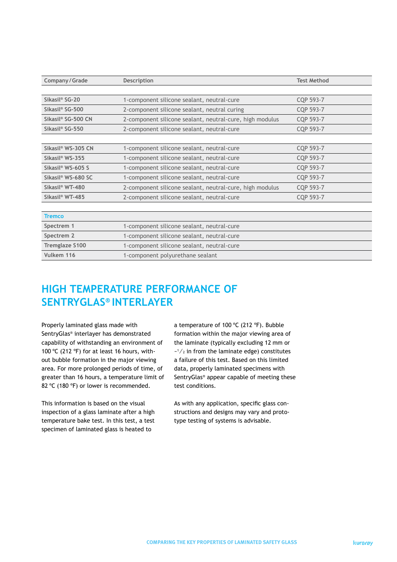| Company/Grade                  | <b>Description</b>                                       | <b>Test Method</b> |
|--------------------------------|----------------------------------------------------------|--------------------|
|                                |                                                          |                    |
| Sikasil <sup>®</sup> SG-20     | 1-component silicone sealant, neutral-cure               | CQP 593-7          |
| Sikasil <sup>®</sup> SG-500    | 2-component silicone sealant, neutral curing             | CQP 593-7          |
| Sikasil <sup>®</sup> SG-500 CN | 2-component silicone sealant, neutral-cure, high modulus | CQP 593-7          |
| Sikasil <sup>®</sup> SG-550    | 2-component silicone sealant, neutral-cure               | CQP 593-7          |
|                                |                                                          |                    |
| Sikasil <sup>®</sup> WS-305 CN | 1-component silicone sealant, neutral-cure               | CQP 593-7          |
| Sikasil <sup>®</sup> WS-355    | 1-component silicone sealant, neutral-cure               | CQP 593-7          |
| Sikasil <sup>®</sup> WS-605 S  | 1-component silicone sealant, neutral-cure               | CQP 593-7          |
| Sikasil <sup>®</sup> WS-680 SC | 1-component silicone sealant, neutral-cure               | CQP 593-7          |
| Sikasil <sup>®</sup> WT-480    | 2-component silicone sealant, neutral-cure, high modulus | CQP 593-7          |
| Sikasil <sup>®</sup> WT-485    | 2-component silicone sealant, neutral-cure               | CQP 593-7          |
|                                |                                                          |                    |
| <b>Tremco</b>                  |                                                          |                    |
| Spectrem 1                     | 1-component silicone sealant, neutral-cure               |                    |
| Spectrem 2                     | 1-component silicone sealant, neutral-cure               |                    |
| <b>Tremglaze S100</b>          | 1-component silicone sealant, neutral-cure               |                    |
| Vulkem 116                     | 1-component polyurethane sealant                         |                    |

### **HIGH TEMPERATURE PERFORMANCE OF SENTRYGLAS® INTERLAYER**

Properly laminated glass made with SentryGlas® interlayer has demonstrated capability of withstanding an environment of 100 °C (212 °F) for at least 16 hours, without bubble formation in the major viewing area. For more prolonged periods of time, of greater than 16 hours, a temperature limit of 82 ºC (180 ºF) or lower is recommended.

This information is based on the visual inspection of a glass laminate after a high temperature bake test. In this test, a test specimen of laminated glass is heated to

a temperature of 100 ºC (212 ºF). Bubble formation within the major viewing area of the laminate (typically excluding 12 mm or  $-1/2$  in from the laminate edge) constitutes a failure of this test. Based on this limited data, properly laminated specimens with SentryGlas® appear capable of meeting these test conditions.

As with any application, specific glass constructions and designs may vary and prototype testing of systems is advisable.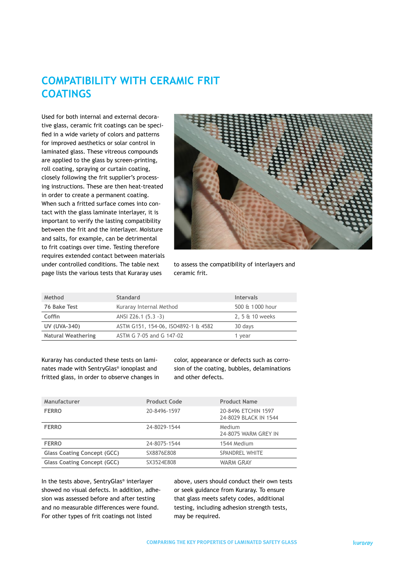### **COMPATIBILITY WITH CERAMIC FRIT COATINGS**

Used for both internal and external decorative glass, ceramic frit coatings can be specified in a wide variety of colors and patterns for improved aesthetics or solar control in laminated glass. These vitreous compounds are applied to the glass by screen-printing, roll coating, spraying or curtain coating, closely following the frit supplier's processing instructions. These are then heat-treated in order to create a permanent coating. When such a fritted surface comes into contact with the glass laminate interlayer, it is important to verify the lasting compatibility between the frit and the interlayer. Moisture and salts, for example, can be detrimental to frit coatings over time. Testing therefore requires extended contact between materials under controlled conditions. The table next page lists the various tests that Kuraray uses



to assess the compatibility of interlayers and ceramic frit.

| Method                    | <b>Standard</b>                     | <b>Intervals</b> |
|---------------------------|-------------------------------------|------------------|
| 76 Bake Test              | Kuraray Internal Method             | 500 & 1000 hour  |
| Coffin                    | ANSI Z26.1 (5.3 -3)                 | 2, 5 & 10 weeks  |
| <b>UV (UVA-340)</b>       | ASTM G151, 154-06, ISO4892-1 & 4582 | 30 days          |
| <b>Natural Weathering</b> | ASTM G 7-05 and G 147-02            | 1 year           |

Kuraray has conducted these tests on laminates made with SentryGlas® ionoplast and fritted glass, in order to observe changes in color, appearance or defects such as corrosion of the coating, bubbles, delaminations and other defects.

| Manufacturer                       | <b>Product Code</b> | <b>Product Name</b>                          |
|------------------------------------|---------------------|----------------------------------------------|
| <b>FERRO</b>                       | 20-8496-1597        | 20-8496 ETCHIN 1597<br>24-8029 BLACK IN 1544 |
| <b>FERRO</b>                       | 24-8029-1544        | Medium<br>24-8075 WARM GREY IN               |
| <b>FERRO</b>                       | 24-8075-1544        | 1544 Medium                                  |
| <b>Glass Coating Concept (GCC)</b> | SX8876E808          | SPANDREL WHITE                               |
| <b>Glass Coating Concept (GCC)</b> | SX3524E808          | <b>WARM GRAY</b>                             |
|                                    |                     |                                              |

In the tests above, SentryGlas® interlayer showed no visual defects. In addition, adhesion was assessed before and after testing and no measurable differences were found. For other types of frit coatings not listed

above, users should conduct their own tests or seek guidance from Kuraray. To ensure that glass meets safety codes, additional testing, including adhesion strength tests, may be required.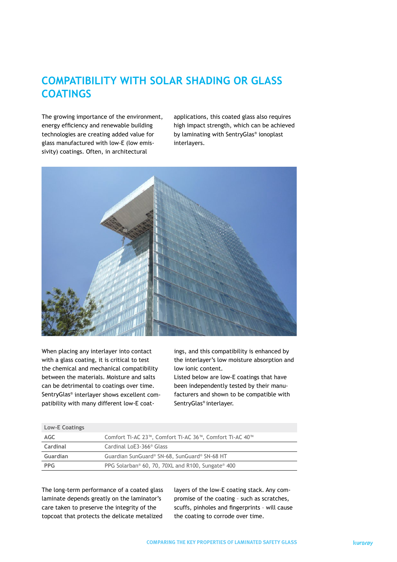### **COMPATIBILITY WITH SOLAR SHADING OR GLASS COATINGS**

The growing importance of the environment, energy efficiency and renewable building technologies are creating added value for glass manufactured with low-E (low emissivity) coatings. Often, in architectural

applications, this coated glass also requires high impact strength, which can be achieved by laminating with SentryGlas® ionoplast interlayers.



When placing any interlayer into contact with a glass coating, it is critical to test the chemical and mechanical compatibility between the materials. Moisture and salts can be detrimental to coatings over time. SentryGlas® interlayer shows excellent compatibility with many different low-E coat-

**Low-E Coatings** 

ings, and this compatibility is enhanced by the interlayer's low moisture absorption and low ionic content.

Listed below are low-E coatings that have been independently tested by their manufacturers and shown to be compatible with SentryGlas® interlayer.

| LOW-E COATINGS |                                                                           |
|----------------|---------------------------------------------------------------------------|
| AGC            | Comfort Ti-AC 23 <sup>™</sup> , Comfort Ti-AC 36™, Comfort Ti-AC 40™      |
| Cardinal       | Cardinal LoE3-366 <sup>®</sup> Glass                                      |
| Guardian       | Guardian SunGuard® SN-68, SunGuard® SN-68 HT                              |
| <b>PPG</b>     | PPG Solarban <sup>®</sup> 60, 70, 70XL and R100, Sungate <sup>®</sup> 400 |

The long-term performance of a coated glass laminate depends greatly on the laminator's care taken to preserve the integrity of the topcoat that protects the delicate metalized

layers of the low-E coating stack. Any compromise of the coating – such as scratches, scuffs, pinholes and fingerprints – will cause the coating to corrode over time.